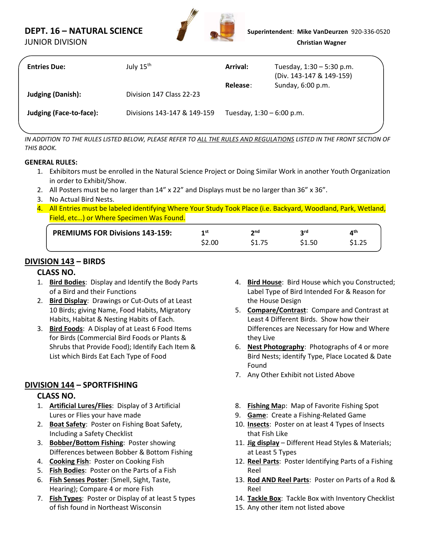# **DEPT. 16 – NATURAL SCIENCE Superintendent**: **Mike VanDeurzen** 920-336-0520



| <b>Entries Due:</b>      | July 15 <sup>th</sup>       | Arrival:                    | Tuesday, $1:30 - 5:30$ p.m.<br>(Div. 143-147 & 149-159) |
|--------------------------|-----------------------------|-----------------------------|---------------------------------------------------------|
| <b>Judging (Danish):</b> | Division 147 Class 22-23    | Release:                    | Sunday, 6:00 p.m.                                       |
| Judging (Face-to-face):  | Divisions 143-147 & 149-159 | Tuesday, $1:30 - 6:00$ p.m. |                                                         |

*IN ADDITION TO THE RULES LISTED BELOW, PLEASE REFER TO ALL THE RULES AND REGULATIONS LISTED IN THE FRONT SECTION OF THIS BOOK.*

#### **GENERAL RULES:**

- 1. Exhibitors must be enrolled in the Natural Science Project or Doing Similar Work in another Youth Organization in order to Exhibit/Show.
- 2. All Posters must be no larger than 14" x 22" and Displays must be no larger than 36" x 36".
- 3. No Actual Bird Nests.
- 4. All Entries must be labeled identifying Where Your Study Took Place (i.e. Backyard, Woodland, Park, Wetland, Field, etc…) or Where Specimen Was Found.

| <b>PREMIUMS FOR Divisions 143-159:</b> | 1st    | າ nd | ord   | ath |
|----------------------------------------|--------|------|-------|-----|
|                                        | \$2.00 |      | S1.50 |     |
|                                        |        |      |       |     |

### **DIVISION 143 – BIRDS**

#### **CLASS NO.**

- 1. **Bird Bodies**: Display and Identify the Body Parts of a Bird and their Functions
- 2. **Bird Display**: Drawings or Cut-Outs of at Least 10 Birds; giving Name, Food Habits, Migratory Habits, Habitat & Nesting Habits of Each.
- 3. **Bird Foods**: A Display of at Least 6 Food Items for Birds (Commercial Bird Foods or Plants & Shrubs that Provide Food); Identify Each Item & List which Birds Eat Each Type of Food

### **DIVISION 144 – SPORTFISHING**

- 1. **Artificial Lures/Flies**: Display of 3 Artificial Lures or Flies your have made
- 2. **Boat Safety**: Poster on Fishing Boat Safety, Including a Safety Checklist
- 3. **Bobber/Bottom Fishing**: Poster showing Differences between Bobber & Bottom Fishing
- 4. **Cooking Fish**: Poster on Cooking Fish
- 5. **Fish Bodies**: Poster on the Parts of a Fish
- 6. **Fish Senses Poster**: (Smell, Sight, Taste, Hearing); Compare 4 or more Fish
- 7. **Fish Types**: Poster or Display of at least 5 types of fish found in Northeast Wisconsin
- 4. **Bird House**: Bird House which you Constructed; Label Type of Bird Intended For & Reason for the House Design
- 5. **Compare/Contrast**: Compare and Contrast at Least 4 Different Birds. Show how their Differences are Necessary for How and Where they Live
- 6. **Nest Photography**: Photographs of 4 or more Bird Nests; identify Type, Place Located & Date Found
- 7. Any Other Exhibit not Listed Above
- 8. **Fishing Ma**p: Map of Favorite Fishing Spot
- 9. **Game**: Create a Fishing-Related Game
- 10. **Insects**: Poster on at least 4 Types of Insects that Fish Like
- 11. **Jig display** Different Head Styles & Materials; at Least 5 Types
- 12. **Reel Parts**: Poster Identifying Parts of a Fishing Reel
- 13. **Rod AND Reel Parts**: Poster on Parts of a Rod & Reel
- 14. **Tackle Box**: Tackle Box with Inventory Checklist
- 15. Any other item not listed above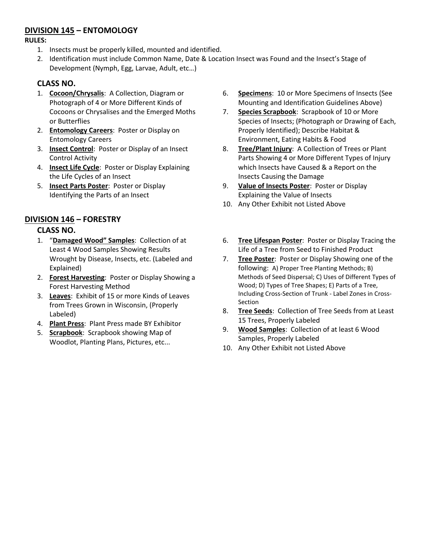#### **DIVISION 145 – ENTOMOLOGY**

#### **RULES:**

- 1. Insects must be properly killed, mounted and identified.
- 2. Identification must include Common Name, Date & Location Insect was Found and the Insect's Stage of Development (Nymph, Egg, Larvae, Adult, etc…)

## **CLASS NO.**

- 1. **Cocoon/Chrysalis**: A Collection, Diagram or Photograph of 4 or More Different Kinds of Cocoons or Chrysalises and the Emerged Moths or Butterflies
- 2. **Entomology Careers**: Poster or Display on Entomology Careers
- 3. **Insect Control**: Poster or Display of an Insect Control Activity
- 4. **Insect Life Cycle**: Poster or Display Explaining the Life Cycles of an Insect
- 5. **Insect Parts Poster**: Poster or Display Identifying the Parts of an Insect

### **DIVISION 146 – FORESTRY**

- 1. "**Damaged Wood" Samples**: Collection of at Least 4 Wood Samples Showing Results Wrought by Disease, Insects, etc. (Labeled and Explained)
- 2. **Forest Harvesting**: Poster or Display Showing a Forest Harvesting Method
- 3. **Leaves**: Exhibit of 15 or more Kinds of Leaves from Trees Grown in Wisconsin, (Properly Labeled)
- 4. **Plant Press**: Plant Press made BY Exhibitor
- 5. **Scrapbook**: Scrapbook showing Map of Woodlot, Planting Plans, Pictures, etc...
- 6. **Specimens**: 10 or More Specimens of Insects (See Mounting and Identification Guidelines Above)
- 7. **Species Scrapbook**: Scrapbook of 10 or More Species of Insects; (Photograph or Drawing of Each, Properly Identified); Describe Habitat & Environment, Eating Habits & Food
- 8. **Tree/Plant Injury**: A Collection of Trees or Plant Parts Showing 4 or More Different Types of Injury which Insects have Caused & a Report on the Insects Causing the Damage
- 9. **Value of Insects Poster**: Poster or Display Explaining the Value of Insects
- 10. Any Other Exhibit not Listed Above
- 6. **Tree Lifespan Poster**: Poster or Display Tracing the Life of a Tree from Seed to Finished Product
- 7. **Tree Poster**: Poster or Display Showing one of the following: A) Proper Tree Planting Methods; B) Methods of Seed Dispersal; C) Uses of Different Types of Wood; D) Types of Tree Shapes; E) Parts of a Tree, Including Cross-Section of Trunk - Label Zones in Cross-Section
- 8. **Tree Seeds**: Collection of Tree Seeds from at Least 15 Trees, Properly Labeled
- 9. **Wood Samples**: Collection of at least 6 Wood Samples, Properly Labeled
- 10. Any Other Exhibit not Listed Above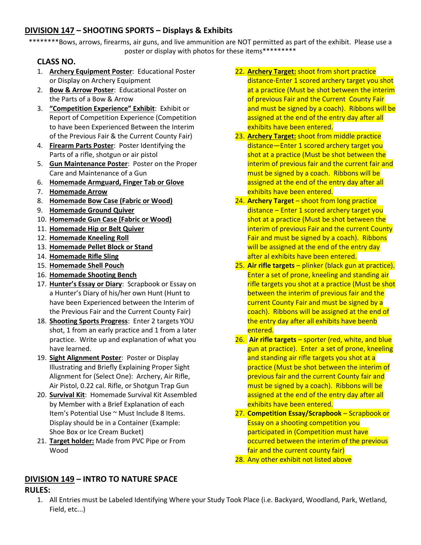## **DIVISION 147 – SHOOTING SPORTS – Displays & Exhibits**

\*\*\*\*\*\*\*\*Bows, arrows, firearms, air guns, and live ammunition are NOT permitted as part of the exhibit. Please use a poster or display with photos for these items\*\*\*\*\*\*\*\*\*

#### **CLASS NO.**

- 1. **Archery Equipment Poster**: Educational Poster or Display on Archery Equipment
- 2. **Bow & Arrow Poster**: Educational Poster on the Parts of a Bow & Arrow
- 3. **"Competition Experience" Exhibit**: Exhibit or Report of Competition Experience (Competition to have been Experienced Between the Interim of the Previous Fair & the Current County Fair)
- 4. **Firearm Parts Poster**: Poster Identifying the Parts of a rifle, shotgun or air pistol
- 5. **Gun Maintenance Poster**: Poster on the Proper Care and Maintenance of a Gun
- 6. **Homemade Armguard, Finger Tab or Glove**
- 7. **Homemade Arrow**
- 8. **Homemade Bow Case (Fabric or Wood)**
- 9. **Homemade Ground Quiver**
- 10. **Homemade Gun Case (Fabric or Wood)**
- 11. **Homemade Hip or Belt Quiver**
- 12. **Homemade Kneeling Roll**
- 13. **Homemade Pellet Block or Stand**
- 14. **Homemade Rifle Sling**
- 15. **Homemade Shell Pouch**
- 16. **Homemade Shooting Bench**
- 17. **Hunter's Essay or Diary**: Scrapbook or Essay on a Hunter's Diary of his/her own Hunt (Hunt to have been Experienced between the Interim of the Previous Fair and the Current County Fair)
- 18. **Shooting Sports Progress**: Enter 2 targets YOU shot, 1 from an early practice and 1 from a later practice. Write up and explanation of what you have learned.
- 19. **Sight Alignment Poster**: Poster or Display Illustrating and Briefly Explaining Proper Sight Alignment for (Select One): Archery, Air Rifle, Air Pistol, 0.22 cal. Rifle, or Shotgun Trap Gun
- 20. **Survival Kit**: Homemade Survival Kit Assembled by Member with a Brief Explanation of each Item's Potential Use ~ Must Include 8 Items. Display should be in a Container (Example: Shoe Box or Ice Cream Bucket)
- 21. **Target holder:** Made from PVC Pipe or From Wood

## of previous Fair and the Current County Fair and must be signed by a coach). Ribbons will be assigned at the end of the entry day after all exhibits have been entered. 23. **Archery Target:** shoot from middle practice distance—Enter 1 scored archery target you

shot at a practice (Must be shot between the interim of previous fair and the current fair and must be signed by a coach. Ribbons will be assigned at the end of the entry day after all exhibits have been entered.

22. **Archery Target:** shoot from short practice

distance-Enter 1 scored archery target you shot at a practice (Must be shot between the interim

- 24. **Archery Target** shoot from long practice distance – Enter 1 scored archery target you shot at a practice (Must be shot between the interim of previous Fair and the current County Fair and must be signed by a coach). Ribbons will be assigned at the end of the entry day after al exhibits have been entered.
- 25. **Air rifle targets** plinker (black gun at practice). Enter a set of prone, kneeling and standing air rifle targets you shot at a practice (Must be shot between the interim of previous fair and the current County Fair and must be signed by a coach). Ribbons will be assigned at the end of the entry day after all exhibits have beenb entered.
- 26. **Air rifle targets** sporter (red, white, and blue gun at practice). Enter a set of prone, kneeling and standing air rifle targets you shot at a practice (Must be shot between the interim of previous fair and the current County fair and must be signed by a coach). Ribbons will be assigned at the end of the entry day after all exhibits have been entered.
- 27. **Competition Essay/Scrapbook** Scrapbook or Essay on a shooting competition you participated in (Competition must have occurred between the interim of the previous fair and the current county fair)
- 28. Any other exhibit not listed above

## **DIVISION 149 – INTRO TO NATURE SPACE RULES:**

1. All Entries must be Labeled Identifying Where your Study Took Place (i.e. Backyard, Woodland, Park, Wetland, Field, etc...)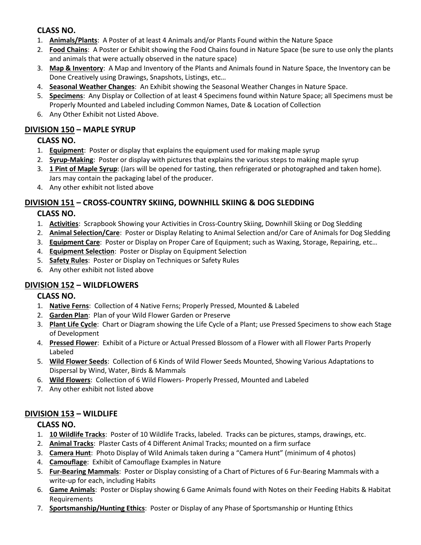## **CLASS NO.**

- 1. **Animals/Plants**: A Poster of at least 4 Animals and/or Plants Found within the Nature Space
- 2. **Food Chains**: A Poster or Exhibit showing the Food Chains found in Nature Space (be sure to use only the plants and animals that were actually observed in the nature space)
- 3. **Map & Inventory**: A Map and Inventory of the Plants and Animals found in Nature Space, the Inventory can be Done Creatively using Drawings, Snapshots, Listings, etc…
- 4. **Seasonal Weather Changes**: An Exhibit showing the Seasonal Weather Changes in Nature Space.
- 5. **Specimens**: Any Display or Collection of at least 4 Specimens found within Nature Space; all Specimens must be Properly Mounted and Labeled including Common Names, Date & Location of Collection
- 6. Any Other Exhibit not Listed Above.

### **DIVISION 150 – MAPLE SYRUP**

### **CLASS NO.**

- 1. **Equipment**: Poster or display that explains the equipment used for making maple syrup
- 2. **Syrup-Making**: Poster or display with pictures that explains the various steps to making maple syrup
- 3. **1 Pint of Maple Syrup**: (Jars will be opened for tasting, then refrigerated or photographed and taken home). Jars may contain the packaging label of the producer.
- 4. Any other exhibit not listed above

### **DIVISION 151 – CROSS-COUNTRY SKIING, DOWNHILL SKIING & DOG SLEDDING**

### **CLASS NO.**

- 1. **Activities**: Scrapbook Showing your Activities in Cross-Country Skiing, Downhill Skiing or Dog Sledding
- 2. **Animal Selection/Care**: Poster or Display Relating to Animal Selection and/or Care of Animals for Dog Sledding
- 3. **Equipment Care**: Poster or Display on Proper Care of Equipment; such as Waxing, Storage, Repairing, etc…
- 4. **Equipment Selection**: Poster or Display on Equipment Selection
- 5. **Safety Rules**: Poster or Display on Techniques or Safety Rules
- 6. Any other exhibit not listed above

### **DIVISION 152 – WILDFLOWERS**

#### **CLASS NO.**

- 1. **Native Ferns**: Collection of 4 Native Ferns; Properly Pressed, Mounted & Labeled
- 2. **Garden Plan**: Plan of your Wild Flower Garden or Preserve
- 3. **Plant Life Cycle**: Chart or Diagram showing the Life Cycle of a Plant; use Pressed Specimens to show each Stage of Development
- 4. **Pressed Flower**: Exhibit of a Picture or Actual Pressed Blossom of a Flower with all Flower Parts Properly Labeled
- 5. **Wild Flower Seeds**: Collection of 6 Kinds of Wild Flower Seeds Mounted, Showing Various Adaptations to Dispersal by Wind, Water, Birds & Mammals
- 6. **Wild Flowers**: Collection of 6 Wild Flowers- Properly Pressed, Mounted and Labeled
- 7. Any other exhibit not listed above

### **DIVISION 153 – WILDLIFE**

- 1. **10 Wildlife Tracks**: Poster of 10 Wildlife Tracks, labeled. Tracks can be pictures, stamps, drawings, etc.
- 2. **Animal Tracks**: Plaster Casts of 4 Different Animal Tracks; mounted on a firm surface
- 3. **Camera Hunt**: Photo Display of Wild Animals taken during a "Camera Hunt" (minimum of 4 photos)
- 4. **Camouflage**: Exhibit of Camouflage Examples in Nature
- 5. **Fur-Bearing Mammals**: Poster or Display consisting of a Chart of Pictures of 6 Fur-Bearing Mammals with a write-up for each, including Habits
- 6. **Game Animals**: Poster or Display showing 6 Game Animals found with Notes on their Feeding Habits & Habitat Requirements
- 7. **Sportsmanship/Hunting Ethics**: Poster or Display of any Phase of Sportsmanship or Hunting Ethics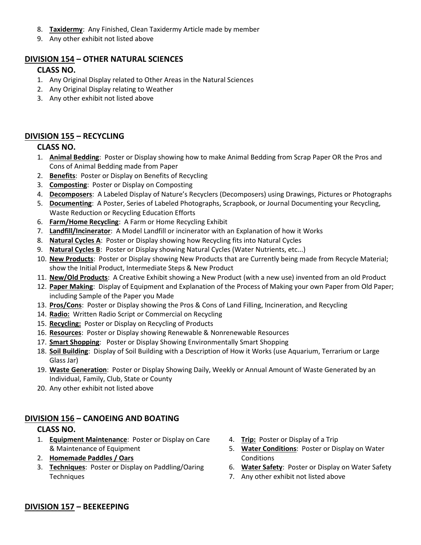- 8. **Taxidermy**: Any Finished, Clean Taxidermy Article made by member
- 9. Any other exhibit not listed above

#### **DIVISION 154 – OTHER NATURAL SCIENCES**

#### **CLASS NO.**

- 1. Any Original Display related to Other Areas in the Natural Sciences
- 2. Any Original Display relating to Weather
- 3. Any other exhibit not listed above

#### **DIVISION 155 – RECYCLING**

#### **CLASS NO.**

- 1. **Animal Bedding**: Poster or Display showing how to make Animal Bedding from Scrap Paper OR the Pros and Cons of Animal Bedding made from Paper
- 2. **Benefits**: Poster or Display on Benefits of Recycling
- 3. **Composting**: Poster or Display on Composting
- 4. **Decomposers**: A Labeled Display of Nature's Recyclers (Decomposers) using Drawings, Pictures or Photographs
- 5. **Documenting**: A Poster, Series of Labeled Photographs, Scrapbook, or Journal Documenting your Recycling, Waste Reduction or Recycling Education Efforts
- 6. **Farm/Home Recycling**: A Farm or Home Recycling Exhibit
- 7. **Landfill/Incinerator**: A Model Landfill or incinerator with an Explanation of how it Works
- 8. **Natural Cycles A**: Poster or Display showing how Recycling fits into Natural Cycles
- 9. **Natural Cycles B**: Poster or Display showing Natural Cycles (Water Nutrients, etc...)
- 10. **New Products**: Poster or Display showing New Products that are Currently being made from Recycle Material; show the Initial Product, Intermediate Steps & New Product
- 11. **New/Old Products**: A Creative Exhibit showing a New Product (with a new use) invented from an old Product
- 12. **Paper Making**: Display of Equipment and Explanation of the Process of Making your own Paper from Old Paper; including Sample of the Paper you Made
- 13. **Pros/Cons**: Poster or Display showing the Pros & Cons of Land Filling, Incineration, and Recycling
- 14. **Radio:** Written Radio Script or Commercial on Recycling
- 15. **Recycling:** Poster or Display on Recycling of Products
- 16. **Resources**: Poster or Display showing Renewable & Nonrenewable Resources
- 17. **Smart Shopping**: Poster or Display Showing Environmentally Smart Shopping
- 18. **Soil Building**: Display of Soil Building with a Description of How it Works (use Aquarium, Terrarium or Large Glass Jar)
- 19. **Waste Generation**: Poster or Display Showing Daily, Weekly or Annual Amount of Waste Generated by an Individual, Family, Club, State or County
- 20. Any other exhibit not listed above

#### **DIVISION 156 – CANOEING AND BOATING**

#### **CLASS NO.**

- 1. **Equipment Maintenance**: Poster or Display on Care & Maintenance of Equipment
- 2. **Homemade Paddles / Oars**
- 3. **Techniques**: Poster or Display on Paddling/Oaring **Techniques**
- 4. **Trip:** Poster or Display of a Trip
- 5. **Water Conditions**: Poster or Display on Water Conditions
- 6. **Water Safety**: Poster or Display on Water Safety
- 7. Any other exhibit not listed above

#### **DIVISION 157 – BEEKEEPING**